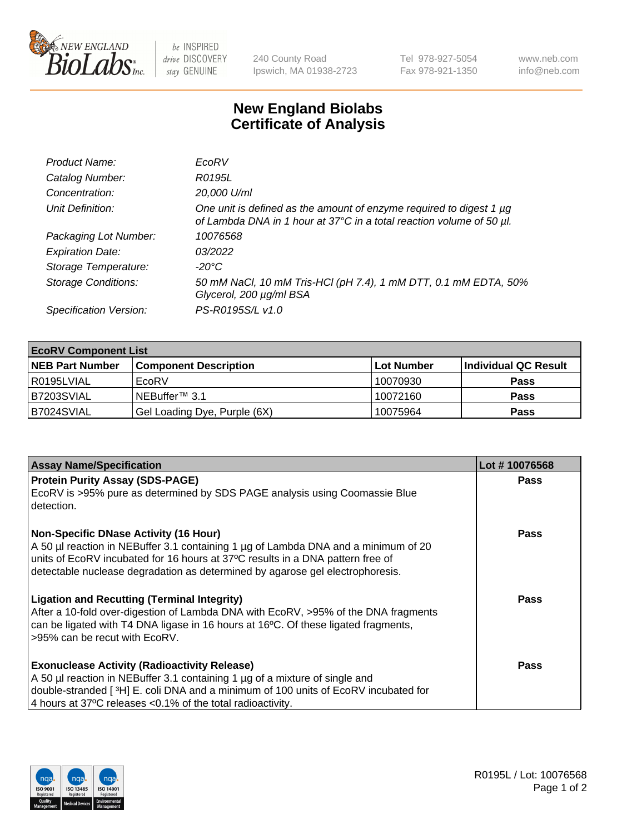

 $be$  INSPIRED drive DISCOVERY stay GENUINE

240 County Road Ipswich, MA 01938-2723 Tel 978-927-5054 Fax 978-921-1350 www.neb.com info@neb.com

## **New England Biolabs Certificate of Analysis**

| Product Name:              | EcoRV                                                                                                                                       |
|----------------------------|---------------------------------------------------------------------------------------------------------------------------------------------|
| Catalog Number:            | R0195L                                                                                                                                      |
| Concentration:             | 20,000 U/ml                                                                                                                                 |
| Unit Definition:           | One unit is defined as the amount of enzyme required to digest 1 µg<br>of Lambda DNA in 1 hour at 37°C in a total reaction volume of 50 µl. |
| Packaging Lot Number:      | 10076568                                                                                                                                    |
| <b>Expiration Date:</b>    | 03/2022                                                                                                                                     |
| Storage Temperature:       | -20°C                                                                                                                                       |
| <b>Storage Conditions:</b> | 50 mM NaCl, 10 mM Tris-HCl (pH 7.4), 1 mM DTT, 0.1 mM EDTA, 50%<br>Glycerol, 200 µg/ml BSA                                                  |
| Specification Version:     | PS-R0195S/L v1.0                                                                                                                            |

| <b>EcoRV Component List</b> |                              |            |                      |  |  |
|-----------------------------|------------------------------|------------|----------------------|--|--|
| <b>NEB Part Number</b>      | <b>Component Description</b> | Lot Number | Individual QC Result |  |  |
| l R0195LVIAL                | EcoRV                        | 10070930   | <b>Pass</b>          |  |  |
| B7203SVIAL                  | INEBuffer™ 3.1               | 10072160   | <b>Pass</b>          |  |  |
| B7024SVIAL                  | Gel Loading Dye, Purple (6X) | 10075964   | <b>Pass</b>          |  |  |

| <b>Assay Name/Specification</b>                                                                                                                                                                                                                                                                       | Lot #10076568 |
|-------------------------------------------------------------------------------------------------------------------------------------------------------------------------------------------------------------------------------------------------------------------------------------------------------|---------------|
| <b>Protein Purity Assay (SDS-PAGE)</b><br>EcoRV is >95% pure as determined by SDS PAGE analysis using Coomassie Blue<br>detection.                                                                                                                                                                    | <b>Pass</b>   |
| <b>Non-Specific DNase Activity (16 Hour)</b><br>A 50 µl reaction in NEBuffer 3.1 containing 1 µg of Lambda DNA and a minimum of 20<br>units of EcoRV incubated for 16 hours at 37°C results in a DNA pattern free of<br>detectable nuclease degradation as determined by agarose gel electrophoresis. | Pass          |
| <b>Ligation and Recutting (Terminal Integrity)</b><br>After a 10-fold over-digestion of Lambda DNA with EcoRV, >95% of the DNA fragments<br>can be ligated with T4 DNA ligase in 16 hours at 16 $\degree$ C. Of these ligated fragments,<br>l >95% can be recut with EcoRV.                           | Pass          |
| <b>Exonuclease Activity (Radioactivity Release)</b><br>A 50 µl reaction in NEBuffer 3.1 containing 1 µg of a mixture of single and<br>double-stranded [ <sup>3</sup> H] E. coli DNA and a minimum of 100 units of EcoRV incubated for<br>4 hours at 37°C releases < 0.1% of the total radioactivity.  | Pass          |